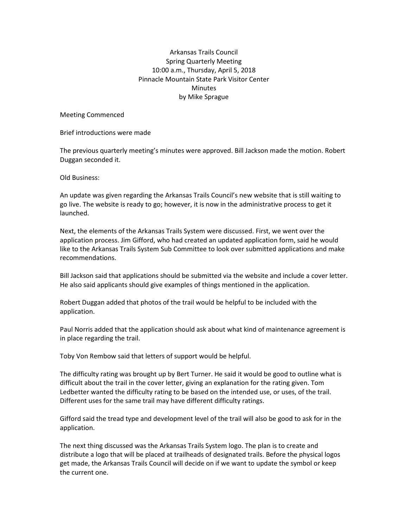## Arkansas Trails Council Spring Quarterly Meeting 10:00 a.m., Thursday, April 5, 2018 Pinnacle Mountain State Park Visitor Center Minutes by Mike Sprague

Meeting Commenced

Brief introductions were made

The previous quarterly meeting's minutes were approved. Bill Jackson made the motion. Robert Duggan seconded it.

Old Business:

An update was given regarding the Arkansas Trails Council's new website that is still waiting to go live. The website is ready to go; however, it is now in the administrative process to get it launched.

Next, the elements of the Arkansas Trails System were discussed. First, we went over the application process. Jim Gifford, who had created an updated application form, said he would like to the Arkansas Trails System Sub Committee to look over submitted applications and make recommendations.

Bill Jackson said that applications should be submitted via the website and include a cover letter. He also said applicants should give examples of things mentioned in the application.

Robert Duggan added that photos of the trail would be helpful to be included with the application.

Paul Norris added that the application should ask about what kind of maintenance agreement is in place regarding the trail.

Toby Von Rembow said that letters of support would be helpful.

The difficulty rating was brought up by Bert Turner. He said it would be good to outline what is difficult about the trail in the cover letter, giving an explanation for the rating given. Tom Ledbetter wanted the difficulty rating to be based on the intended use, or uses, of the trail. Different uses for the same trail may have different difficulty ratings.

Gifford said the tread type and development level of the trail will also be good to ask for in the application.

The next thing discussed was the Arkansas Trails System logo. The plan is to create and distribute a logo that will be placed at trailheads of designated trails. Before the physical logos get made, the Arkansas Trails Council will decide on if we want to update the symbol or keep the current one.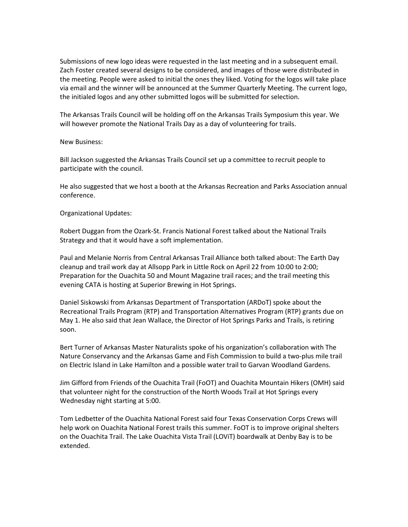Submissions of new logo ideas were requested in the last meeting and in a subsequent email. Zach Foster created several designs to be considered, and images of those were distributed in the meeting. People were asked to initial the ones they liked. Voting for the logos will take place via email and the winner will be announced at the Summer Quarterly Meeting. The current logo, the initialed logos and any other submitted logos will be submitted for selection.

The Arkansas Trails Council will be holding off on the Arkansas Trails Symposium this year. We will however promote the National Trails Day as a day of volunteering for trails.

## New Business:

Bill Jackson suggested the Arkansas Trails Council set up a committee to recruit people to participate with the council.

He also suggested that we host a booth at the Arkansas Recreation and Parks Association annual conference.

## Organizational Updates:

Robert Duggan from the Ozark-St. Francis National Forest talked about the National Trails Strategy and that it would have a soft implementation.

Paul and Melanie Norris from Central Arkansas Trail Alliance both talked about: The Earth Day cleanup and trail work day at Allsopp Park in Little Rock on April 22 from 10:00 to 2:00; Preparation for the Ouachita 50 and Mount Magazine trail races; and the trail meeting this evening CATA is hosting at Superior Brewing in Hot Springs.

Daniel Siskowski from Arkansas Department of Transportation (ARDoT) spoke about the Recreational Trails Program (RTP) and Transportation Alternatives Program (RTP) grants due on May 1. He also said that Jean Wallace, the Director of Hot Springs Parks and Trails, is retiring soon.

Bert Turner of Arkansas Master Naturalists spoke of his organization's collaboration with The Nature Conservancy and the Arkansas Game and Fish Commission to build a two-plus mile trail on Electric Island in Lake Hamilton and a possible water trail to Garvan Woodland Gardens.

Jim Gifford from Friends of the Ouachita Trail (FoOT) and Ouachita Mountain Hikers (OMH) said that volunteer night for the construction of the North Woods Trail at Hot Springs every Wednesday night starting at 5:00.

Tom Ledbetter of the Ouachita National Forest said four Texas Conservation Corps Crews will help work on Ouachita National Forest trails this summer. FoOT is to improve original shelters on the Ouachita Trail. The Lake Ouachita Vista Trail (LOViT) boardwalk at Denby Bay is to be extended.